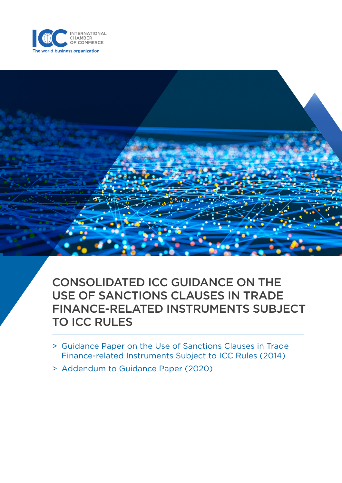

CONSOLIDATED ICC GUIDANCE ON THE USE OF SANCTIONS CLAUSES IN TRADE FINANCE-RELATED INSTRUMENTS SUBJECT TO ICC RULES

- > Guidance Paper on the Use of Sanctions Clauses in Trade Finance-related Instruments Subject to ICC Rules (2014)
- > Addendum to Guidance Paper (2020)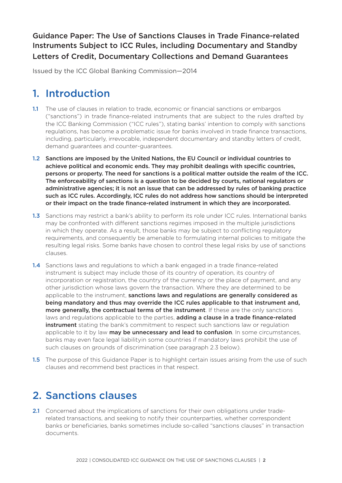### Guidance Paper: The Use of Sanctions Clauses in Trade Finance-related Instruments Subject to ICC Rules, including Documentary and Standby Letters of Credit, Documentary Collections and Demand Guarantees

Issued by the ICC Global Banking Commission—2014

## 1. Introduction

- 1.1 The use of clauses in relation to trade, economic or financial sanctions or embargos ("sanctions") in trade finance-related instruments that are subject to the rules drafted by the ICC Banking Commission ("ICC rules"), stating banks' intention to comply with sanctions regulations, has become a problematic issue for banks involved in trade finance transactions, including, particularly, irrevocable, independent documentary and standby letters of credit, demand guarantees and counter-guarantees.
- 1.2 Sanctions are imposed by the United Nations, the EU Council or individual countries to achieve political and economic ends. They may prohibit dealings with specific countries, persons or property. The need for sanctions is a political matter outside the realm of the ICC. The enforceability of sanctions is a question to be decided by courts, national regulators or administrative agencies; it is not an issue that can be addressed by rules of banking practice such as ICC rules. Accordingly, ICC rules do not address how sanctions should be interpreted or their impact on the trade finance-related instrument in which they are incorporated.
- 1.3 Sanctions may restrict a bank's ability to perform its role under ICC rules. International banks may be confronted with different sanctions regimes imposed in the multiple jurisdictions in which they operate. As a result, those banks may be subject to conflicting regulatory requirements, and consequently be amenable to formulating internal policies to mitigate the resulting legal risks. Some banks have chosen to control these legal risks by use of sanctions clauses.
- 1.4 Sanctions laws and regulations to which a bank engaged in a trade finance-related instrument is subject may include those of its country of operation, its country of incorporation or registration, the country of the currency or the place of payment, and any other jurisdiction whose laws govern the transaction. Where they are determined to be applicable to the instrument, sanctions laws and regulations are generally considered as being mandatory and thus may override the ICC rules applicable to that instrument and, more generally, the contractual terms of the instrument. If these are the only sanctions laws and regulations applicable to the parties, **adding a clause in a trade finance-related instrument** stating the bank's commitment to respect such sanctions law or regulation applicable to it by law may be unnecessary and lead to confusion. In some circumstances, banks may even face legal liabilityin some countries if mandatory laws prohibit the use of such clauses on grounds of discrimination (see paragraph 2.3 below).
- **1.5** The purpose of this Guidance Paper is to highlight certain issues arising from the use of such clauses and recommend best practices in that respect.

## 2. Sanctions clauses

2.1 Concerned about the implications of sanctions for their own obligations under traderelated transactions, and seeking to notify their counterparties, whether correspondent banks or beneficiaries, banks sometimes include so-called "sanctions clauses" in transaction documents.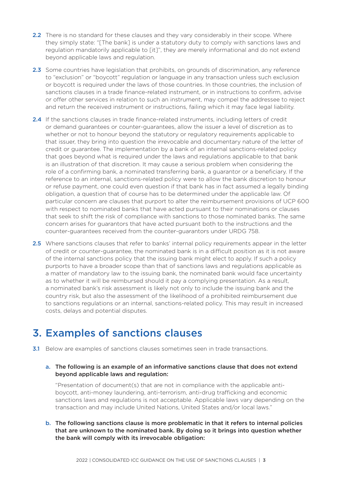- 2.2 There is no standard for these clauses and they vary considerably in their scope. Where they simply state: "[The bank] is under a statutory duty to comply with sanctions laws and regulation mandatorily applicable to [it]", they are merely informational and do not extend beyond applicable laws and regulation.
- 2.3 Some countries have legislation that prohibits, on grounds of discrimination, any reference to "exclusion" or "boycott" regulation or language in any transaction unless such exclusion or boycott is required under the laws of those countries. In those countries, the inclusion of sanctions clauses in a trade finance-related instrument, or in instructions to confirm, advise or offer other services in relation to such an instrument, may compel the addressee to reject and return the received instrument or instructions, failing which it may face legal liability.
- 2.4 If the sanctions clauses in trade finance-related instruments, including letters of credit or demand guarantees or counter-guarantees, allow the issuer a level of discretion as to whether or not to honour beyond the statutory or regulatory requirements applicable to that issuer, they bring into question the irrevocable and documentary nature of the letter of credit or guarantee. The implementation by a bank of an internal sanctions-related policy that goes beyond what is required under the laws and regulations applicable to that bank is an illustration of that discretion. It may cause a serious problem when considering the role of a confirming bank, a nominated transferring bank, a guarantor or a beneficiary. If the reference to an internal, sanctions-related policy were to allow the bank discretion to honour or refuse payment, one could even question if that bank has in fact assumed a legally binding obligation, a question that of course has to be determined under the applicable law. Of particular concern are clauses that purport to alter the reimbursement provisions of UCP 600 with respect to nominated banks that have acted pursuant to their nominations or clauses that seek to shift the risk of compliance with sanctions to those nominated banks. The same concern arises for guarantors that have acted pursuant both to the instructions and the counter-guarantees received from the counter-guarantors under URDG 758.
- 2.5 Where sanctions clauses that refer to banks' internal policy requirements appear in the letter of credit or counter-guarantee, the nominated bank is in a difficult position as it is not aware of the internal sanctions policy that the issuing bank might elect to apply. If such a policy purports to have a broader scope than that of sanctions laws and regulations applicable as a matter of mandatory law to the issuing bank, the nominated bank would face uncertainty as to whether it will be reimbursed should it pay a complying presentation. As a result, a nominated bank's risk assessment is likely not only to include the issuing bank and the country risk, but also the assessment of the likelihood of a prohibited reimbursement due to sanctions regulations or an internal, sanctions-related policy. This may result in increased costs, delays and potential disputes.

### 3. Examples of sanctions clauses

**3.1** Below are examples of sanctions clauses sometimes seen in trade transactions.

#### a. The following is an example of an informative sanctions clause that does not extend beyond applicable laws and regulation:

"Presentation of document(s) that are not in compliance with the applicable antiboycott, anti-money laundering, anti-terrorism, anti-drug trafficking and economic sanctions laws and regulations is not acceptable. Applicable laws vary depending on the transaction and may include United Nations, United States and/or local laws."

b. The following sanctions clause is more problematic in that it refers to internal policies that are unknown to the nominated bank. By doing so it brings into question whether the bank will comply with its irrevocable obligation: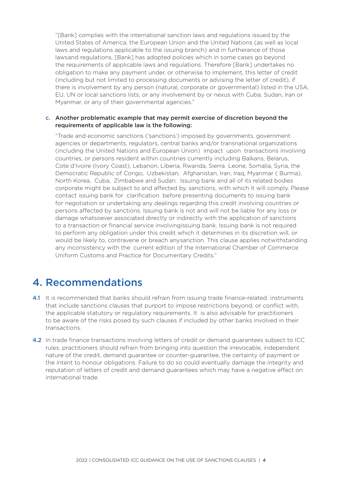"[Bank] complies with the international sanction laws and regulations issued by the United States of America, the European Union and the United Nations (as well as local laws and regulations applicable to the issuing branch) and in furtherance of those laws and regulations, [Bank] has adopted policies which in some cases go beyond the requirements of applicable laws and regulations. Therefore [Bank] undertakes no obligation to make any payment under, or otherwise to implement, this letter of credit (including but not limited to processing documents or advising the letter of credit), if there is involvement by any person (natural, corporate or governmental) listed in the USA, EU, UN or local sanctions lists, or any involvement by or nexus with Cuba, Sudan, Iran or Myanmar, or any of their governmental agencies."

#### c. Another problematic example that may permit exercise of discretion beyond the requirements of applicable law is the following:

"Trade and economic sanctions ('sanctions') imposed by governments, government agencies or departments, regulators, central banks and/or transnational organizations (including the United Nations and European Union) impact upon transactions involving countries, or persons resident within countries currently including Balkans, Belarus, Cote d'Ivoire (Ivory Coast), Lebanon, Liberia, Rwanda, Sierra Leone, Somalia, Syria, the Democratic Republic of Congo, Uzbekistan, Afghanistan, Iran, Iraq, Myanmar ( Burma), North Korea, Cuba, Zimbabwe and Sudan. Issuing bank and all of its related bodies corporate might be subject to and affected by, sanctions, with which it will comply. Please contact issuing bank for clarification before presenting documents to issuing bank for negotiation or undertaking any dealings regarding this credit involving countries or persons affected by sanctions. Issuing bank is not and will not be liable for any loss or damage whatsoever associated directly or indirectly with the application of sanctions to a transaction or financial service involving issuing bank. Issuing bank is not required to perform any obligation under this credit which it determines in its discretion will, or would be likely to, contravene or breach any sanction. This clause applies notwithstanding any inconsistency with the current edition of the International Chamber of Commerce Uniform Customs and Practice for Documentary Credits."

### 4. Recommendations

- 4.1 It is recommended that banks should refrain from issuing trade finance-related instruments that include sanctions clauses that purport to impose restrictions beyond, or conflict with, the applicable statutory or regulatory requirements. It is also advisable for practitioners to be aware of the risks posed by such clauses if included by other banks involved in their transactions.
- 4.2 In trade finance transactions involving letters of credit or demand guarantees subject to ICC rules, practitioners should refrain from bringing into question the irrevocable, independent nature of the credit, demand guarantee or counter-guarantee, the certainty of payment or the intent to honour obligations. Failure to do so could eventually damage the integrity and reputation of letters of credit and demand guarantees which may have a negative effect on international trade.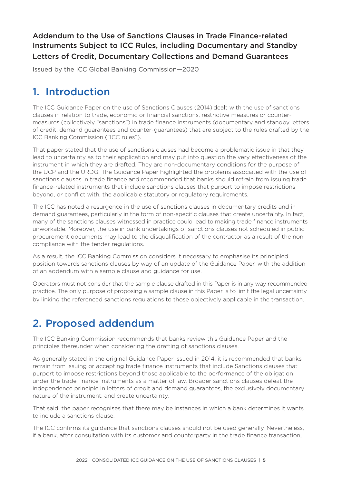### Addendum to the Use of Sanctions Clauses in Trade Finance-related Instruments Subject to ICC Rules, including Documentary and Standby Letters of Credit, Documentary Collections and Demand Guarantees

Issued by the ICC Global Banking Commission—2020

## 1. Introduction

The ICC Guidance Paper on the use of Sanctions Clauses (2014) dealt with the use of sanctions clauses in relation to trade, economic or financial sanctions, restrictive measures or countermeasures (collectively "sanctions") in trade finance instruments (documentary and standby letters of credit, demand guarantees and counter-guarantees) that are subject to the rules drafted by the ICC Banking Commission ("ICC rules").

That paper stated that the use of sanctions clauses had become a problematic issue in that they lead to uncertainty as to their application and may put into question the very effectiveness of the instrument in which they are drafted. They are non-documentary conditions for the purpose of the UCP and the URDG. The Guidance Paper highlighted the problems associated with the use of sanctions clauses in trade finance and recommended that banks should refrain from issuing trade finance-related instruments that include sanctions clauses that purport to impose restrictions beyond, or conflict with, the applicable statutory or regulatory requirements.

The ICC has noted a resurgence in the use of sanctions clauses in documentary credits and in demand guarantees, particularly in the form of non-specific clauses that create uncertainty. In fact, many of the sanctions clauses witnessed in practice could lead to making trade finance instruments unworkable. Moreover, the use in bank undertakings of sanctions clauses not scheduled in public procurement documents may lead to the disqualification of the contractor as a result of the noncompliance with the tender regulations.

As a result, the ICC Banking Commission considers it necessary to emphasise its principled position towards sanctions clauses by way of an update of the Guidance Paper, with the addition of an addendum with a sample clause and guidance for use.

Operators must not consider that the sample clause drafted in this Paper is in any way recommended practice. The only purpose of proposing a sample clause in this Paper is to limit the legal uncertainty by linking the referenced sanctions regulations to those objectively applicable in the transaction.

# 2. Proposed addendum

The ICC Banking Commission recommends that banks review this Guidance Paper and the principles thereunder when considering the drafting of sanctions clauses.

As generally stated in the original Guidance Paper issued in 2014, it is recommended that banks refrain from issuing or accepting trade finance instruments that include Sanctions clauses that purport to impose restrictions beyond those applicable to the performance of the obligation under the trade finance instruments as a matter of law. Broader sanctions clauses defeat the independence principle in letters of credit and demand guarantees, the exclusively documentary nature of the instrument, and create uncertainty.

That said, the paper recognises that there may be instances in which a bank determines it wants to include a sanctions clause.

The ICC confirms its guidance that sanctions clauses should not be used generally. Nevertheless, if a bank, after consultation with its customer and counterparty in the trade finance transaction,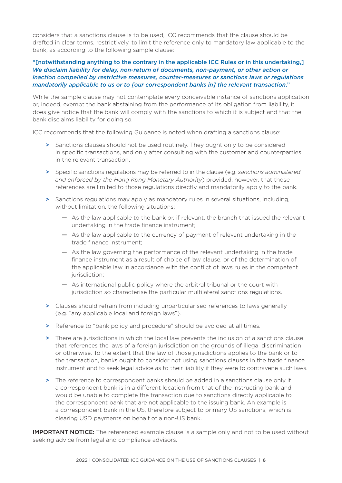considers that a sanctions clause is to be used, ICC recommends that the clause should be drafted in clear terms, restrictively, to limit the reference only to mandatory law applicable to the bank, as according to the following sample clause:

#### "[notwithstanding anything to the contrary in the applicable ICC Rules or in this undertaking,] *We disclaim liability for delay, non-return of documents, non-payment, or other action or inaction compelled by restrictive measures, counter-measures or sanctions laws or regulations mandatorily applicable to us or to [our correspondent banks in] the relevant transaction*."

While the sample clause may not contemplate every conceivable instance of sanctions application or, indeed, exempt the bank abstaining from the performance of its obligation from liability, it does give notice that the bank will comply with the sanctions to which it is subject and that the bank disclaims liability for doing so.

ICC recommends that the following Guidance is noted when drafting a sanctions clause:

- > Sanctions clauses should not be used routinely. They ought only to be considered in specific transactions, and only after consulting with the customer and counterparties in the relevant transaction.
- > Specific sanctions regulations may be referred to in the clause (e.g. *sanctions administered and enforced by the Hong Kong Monetary Authority*) provided, however, that those references are limited to those regulations directly and mandatorily apply to the bank.
- > Sanctions regulations may apply as mandatory rules in several situations, including, without limitation, the following situations:
	- **—** As the law applicable to the bank or, if relevant, the branch that issued the relevant undertaking in the trade finance instrument;
	- **—** As the law applicable to the currency of payment of relevant undertaking in the trade finance instrument;
	- **—** As the law governing the performance of the relevant undertaking in the trade finance instrument as a result of choice of law clause, or of the determination of the applicable law in accordance with the conflict of laws rules in the competent jurisdiction:
	- **—** As international public policy where the arbitral tribunal or the court with jurisdiction so characterise the particular multilateral sanctions regulations.
- > Clauses should refrain from including unparticularised references to laws generally (e.g. "any applicable local and foreign laws").
- > Reference to "bank policy and procedure" should be avoided at all times.
- > There are jurisdictions in which the local law prevents the inclusion of a sanctions clause that references the laws of a foreign jurisdiction on the grounds of illegal discrimination or otherwise. To the extent that the law of those jurisdictions applies to the bank or to the transaction, banks ought to consider not using sanctions clauses in the trade finance instrument and to seek legal advice as to their liability if they were to contravene such laws.
- > The reference to correspondent banks should be added in a sanctions clause only if a correspondent bank is in a different location from that of the instructing bank and would be unable to complete the transaction due to sanctions directly applicable to the correspondent bank that are not applicable to the issuing bank. An example is a correspondent bank in the US, therefore subject to primary US sanctions, which is clearing USD payments on behalf of a non-US bank.

**IMPORTANT NOTICE:** The referenced example clause is a sample only and not to be used without seeking advice from legal and compliance advisors.